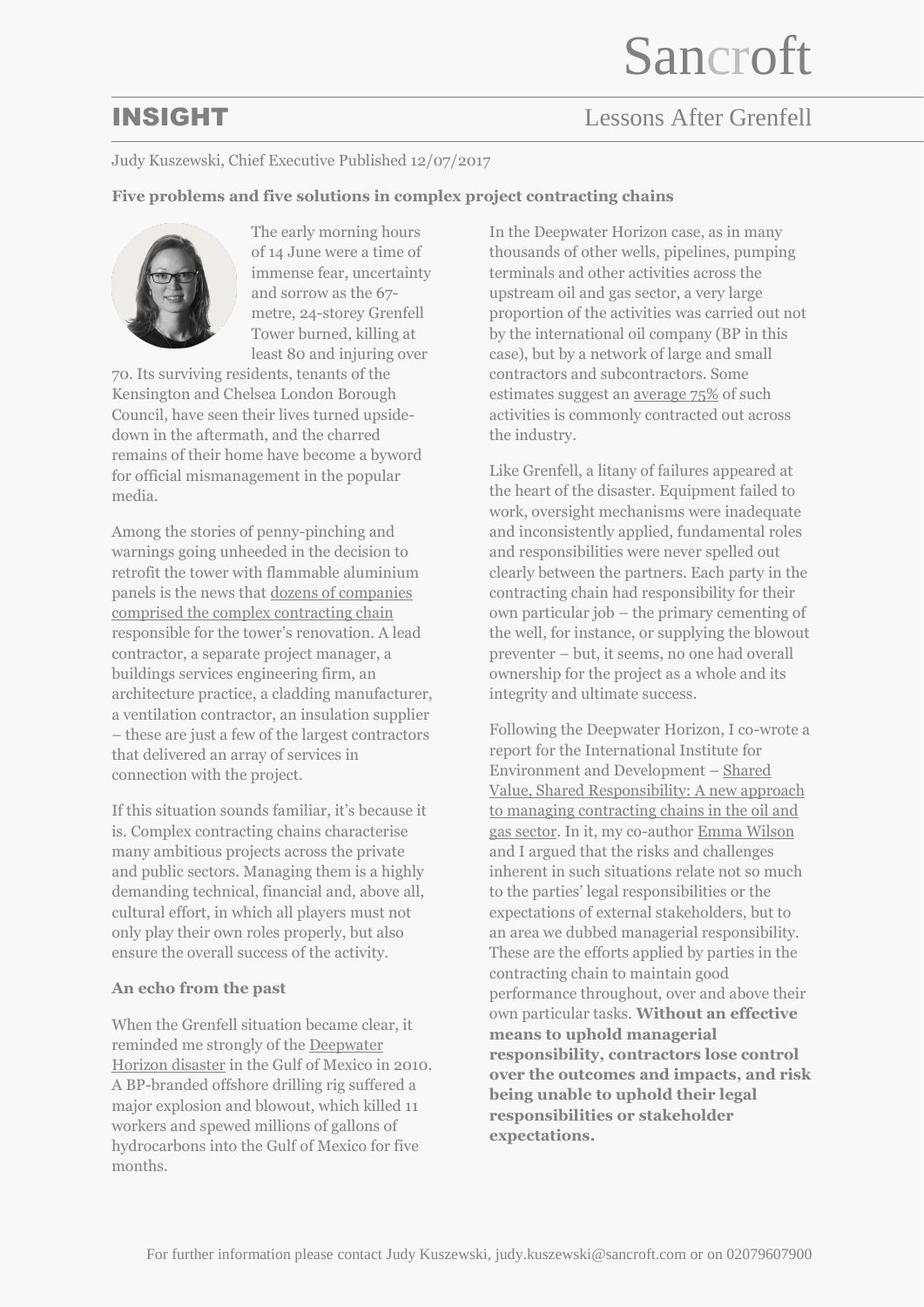# INSIGHT Lessons After Grenfell

## Judy Kuszewski, Chief Executive Published 12/07/2017

## **Five problems and five solutions in complex project contracting chains**



The early morning hours of 14 June were a time of immense fear, uncertainty and sorrow as the 67 metre, 24-storey Grenfell Tower burned, killing at least 80 and injuring over

70. Its surviving residents, tenants of the Kensington and Chelsea London Borough Council, have seen their lives turned upsidedown in the aftermath, and the charred remains of their home have become a byword for official mismanagement in the popular media.

Among the stories of penny-pinching and warnings going unheeded in the decision to retrofit the tower with flammable aluminium panels is the news that [dozens of companies](https://www.theguardian.com/uk-news/2017/jun/15/long-builder-chain-for-grenfell-a-safety-and-accountability-issue)  [comprised the complex contracting chain](https://www.theguardian.com/uk-news/2017/jun/15/long-builder-chain-for-grenfell-a-safety-and-accountability-issue) responsible for the tower's renovation. A lead contractor, a separate project manager, a buildings services engineering firm, an architecture practice, a cladding manufacturer, a ventilation contractor, an insulation supplier – these are just a few of the largest contractors that delivered an array of services in connection with the project.

If this situation sounds familiar, it's because it is. Complex contracting chains characterise many ambitious projects across the private and public sectors. Managing them is a highly demanding technical, financial and, above all, cultural effort, in which all players must not only play their own roles properly, but also ensure the overall success of the activity.

### **An echo from the past**

When the Grenfell situation became clear, it reminded me strongly of the [Deepwater](https://www.theguardian.com/environment/bp-oil-spill)  [Horizon disaster](https://www.theguardian.com/environment/bp-oil-spill) in the Gulf of Mexico in 2010. A BP-branded offshore drilling rig suffered a major explosion and blowout, which killed 11 workers and spewed millions of gallons of hydrocarbons into the Gulf of Mexico for five months.

In the Deepwater Horizon case, as in many thousands of other wells, pipelines, pumping terminals and other activities across the upstream oil and gas sector, a very large proportion of the activities was carried out not by the international oil company (BP in this case), but by a network of large and small contractors and subcontractors. Some estimates suggest an [average 75%](http://www.iogp.org/bookstore/product/hse-management-guidelines-for-working-together-in-a-contract-environment/) of such activities is commonly contracted out across the industry.

Like Grenfell, a litany of failures appeared at the heart of the disaster. Equipment failed to work, oversight mechanisms were inadequate and inconsistently applied, fundamental roles and responsibilities were never spelled out clearly between the partners. Each party in the contracting chain had responsibility for their own particular job – the primary cementing of the well, for instance, or supplying the blowout preventer – but, it seems, no one had overall ownership for the project as a whole and its integrity and ultimate success.

Following the Deepwater Horizon, I co-wrote a report for the International Institute for Environment and Development – [Shared](http://pubs.iied.org/16026IIED/)  [Value, Shared Responsibility: A new approach](http://pubs.iied.org/16026IIED/)  [to managing contracting chains in the oil and](http://pubs.iied.org/16026IIED/)  [gas sector.](http://pubs.iied.org/16026IIED/) In it, my co-autho[r Emma Wilson](https://www.linkedin.com/in/emmacwilson/?ppe=1) and I argued that the risks and challenges inherent in such situations relate not so much to the parties' legal responsibilities or the expectations of external stakeholders, but to an area we dubbed managerial responsibility. These are the efforts applied by parties in the contracting chain to maintain good performance throughout, over and above their own particular tasks. **Without an effective means to uphold managerial responsibility, contractors lose control over the outcomes and impacts, and risk being unable to uphold their legal responsibilities or stakeholder expectations.**